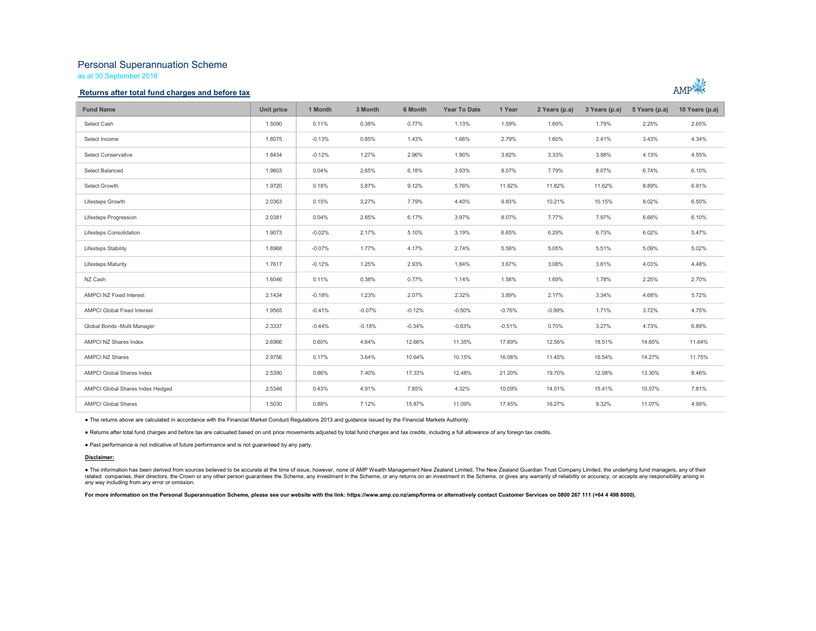# Personal Superannuation Scheme

as at 30 September 2018

### Returns after total fund charges and before tax



| <b>Fund Name</b>                   | Unit price | 1 Month  | 3 Month  | 6 Month  | Year To Date | 1 Year   | 2 Years (p.a) | 3 Years (p.a) | 5 Years (p.a) | 10 Years (p.a) |
|------------------------------------|------------|----------|----------|----------|--------------|----------|---------------|---------------|---------------|----------------|
| Select Cash                        | 1.5090     | 0.11%    | 0.38%    | 0.77%    | 1.13%        | 1.59%    | 1.69%         | 1.79%         | 2.25%         | 2.65%          |
| Select Income                      | 1.8075     | $-0.13%$ | 0.85%    | 1.43%    | 1.66%        | 2.79%    | 1.60%         | 2.41%         | 3.43%         | 4.34%          |
| Select Conservative                | 1.8434     | $-0.12%$ | 1.27%    | 2.96%    | 1.90%        | 3.82%    | 3.33%         | 3.98%         | 4.13%         | 4.55%          |
| Select Balanced                    | 1.9603     | 0.04%    | 2.65%    | 6.18%    | 3.93%        | 8.07%    | 7.79%         | 8.07%         | 6.74%         | 6.10%          |
| Select Growth                      | 1.9720     | 0.18%    | 3.87%    | 9.12%    | 5.76%        | 11.92%   | 11.82%        | 11.62%        | 8.89%         | 6.91%          |
| Lifesteps Growth                   | 2.0363     | 0.15%    | 3.27%    | 7.79%    | 4.40%        | 9.83%    | 10.21%        | 10.15%        | 8.02%         | 6.50%          |
| Lifesteps Progression              | 2.0381     | 0.04%    | 2.65%    | 6.17%    | 3.97%        | 8.07%    | 7.77%         | 7.97%         | 6.66%         | 6.10%          |
| Lifesteps Consolidation            | 1.9073     | $-0.02%$ | 2.17%    | 5.10%    | 3.19%        | 6.65%    | 6.29%         | 6.73%         | 6.02%         | 5.47%          |
| Lifesteps Stability                | 1.8968     | $-0.07%$ | 1.77%    | 4.17%    | 2.74%        | 5.56%    | 5.05%         | 5.51%         | 5.09%         | 5.02%          |
| <b>Lifesteps Maturity</b>          | 1.7617     | $-0.12%$ | 1.25%    | 2.93%    | 1.84%        | 3.67%    | 3.08%         | 3.81%         | 4.03%         | 4.48%          |
| NZ Cash                            | 1.6046     | 0.11%    | 0.38%    | 0.77%    | 1.14%        | 1.58%    | 1.69%         | 1.78%         | 2.25%         | 2.70%          |
| AMPCI NZ Fixed Interest            | 2.1434     | $-0.18%$ | 1.23%    | 2.07%    | 2.32%        | 3.89%    | 2.17%         | 3.34%         | 4.68%         | 5.72%          |
| <b>AMPCI Global Fixed Interest</b> | 1.9565     | $-0.41%$ | $-0.07%$ | $-0.12%$ | $-0.50%$     | $-0.76%$ | $-0.99%$      | 1.71%         | 3.72%         | 4.75%          |
| Global Bonds -Multi Manager        | 2.3337     | $-0.44%$ | $-0.18%$ | $-0.34%$ | $-0.83%$     | $-0.51%$ | 0.70%         | 3.27%         | 4.73%         | 6.89%          |
| AMPCI NZ Shares Index              | 2.6966     | 0.60%    | 4.64%    | 12.66%   | 11.35%       | 17.69%   | 12.56%        | 18.51%        | 14.65%        | 11.64%         |
| <b>AMPCI NZ Shares</b>             | 2.9756     | 0.17%    | 3.64%    | 10.64%   | 10.15%       | 16.08%   | 11.45%        | 16.54%        | 14.27%        | 11.75%         |
| <b>AMPCI Global Shares Index</b>   | 2.5390     | 0.86%    | 7.40%    | 17.33%   | 12.48%       | 21.20%   | 19.70%        | 12.08%        | 13.30%        | 8.46%          |
| AMPCI Global Shares Index Hedged   | 2.5346     | 0.43%    | 4.91%    | 7.85%    | 4.32%        | 10.09%   | 14.01%        | 15.41%        | 10.57%        | 7.81%          |
| <b>AMPCI Global Shares</b>         | 1.5030     | 0.88%    | 7.12%    | 15.87%   | 11.09%       | 17.45%   | 16.27%        | 9.32%         | 11.07%        | 4.99%          |

● The returns above are calculated in accordance with the Financial Market Conduct Regulations 2013 and guidance issued by the Financial Markets Authority.<br>● Returns after total fund charges and before tax are calcuated b

#### Disclaimer:

● The information has been derived from sources believed to be accurate at the time of issue, however, none of AMP Wealth Management New Zealand Limited, The New Zealand Guardian Trust Company Limited, the underlying fund any way including from any error or omission.

For more information on the Personal Superannuation Scheme, please see our website with the link: https://www.amp.co.nz/amp/forms or alternatively contact Customer Services on 0800 267 111 (+64 4 498 8000).